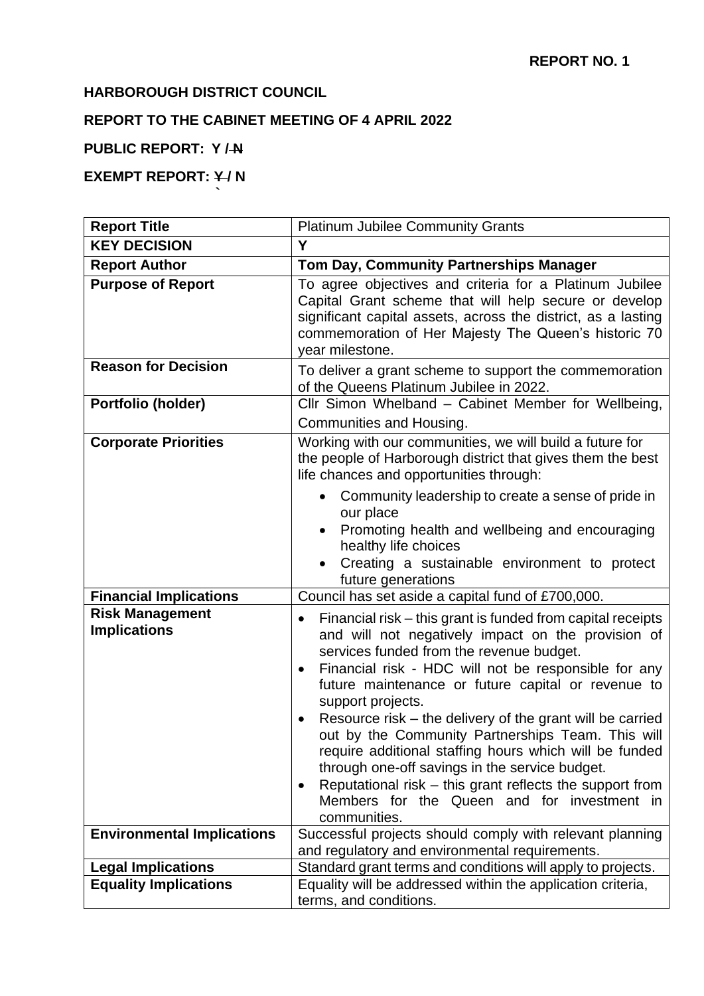## **HARBOROUGH DISTRICT COUNCIL**

**`**

# **REPORT TO THE CABINET MEETING OF 4 APRIL 2022**

#### **PUBLIC REPORT: Y / N**

## **EXEMPT REPORT: Y/N**

| <b>Report Title</b>                           | <b>Platinum Jubilee Community Grants</b>                                                                                                                                                                                                                                                                                                                                                                                                                                                                                                                                                                                                               |
|-----------------------------------------------|--------------------------------------------------------------------------------------------------------------------------------------------------------------------------------------------------------------------------------------------------------------------------------------------------------------------------------------------------------------------------------------------------------------------------------------------------------------------------------------------------------------------------------------------------------------------------------------------------------------------------------------------------------|
| <b>KEY DECISION</b>                           | Y                                                                                                                                                                                                                                                                                                                                                                                                                                                                                                                                                                                                                                                      |
| <b>Report Author</b>                          | Tom Day, Community Partnerships Manager                                                                                                                                                                                                                                                                                                                                                                                                                                                                                                                                                                                                                |
| <b>Purpose of Report</b>                      | To agree objectives and criteria for a Platinum Jubilee<br>Capital Grant scheme that will help secure or develop<br>significant capital assets, across the district, as a lasting<br>commemoration of Her Majesty The Queen's historic 70<br>vear milestone.                                                                                                                                                                                                                                                                                                                                                                                           |
| <b>Reason for Decision</b>                    | To deliver a grant scheme to support the commemoration<br>of the Queens Platinum Jubilee in 2022.                                                                                                                                                                                                                                                                                                                                                                                                                                                                                                                                                      |
| Portfolio (holder)                            | Cllr Simon Whelband - Cabinet Member for Wellbeing,<br>Communities and Housing.                                                                                                                                                                                                                                                                                                                                                                                                                                                                                                                                                                        |
| <b>Corporate Priorities</b>                   | Working with our communities, we will build a future for<br>the people of Harborough district that gives them the best<br>life chances and opportunities through:<br>Community leadership to create a sense of pride in                                                                                                                                                                                                                                                                                                                                                                                                                                |
|                                               | our place<br>Promoting health and wellbeing and encouraging<br>$\bullet$<br>healthy life choices<br>Creating a sustainable environment to protect<br>future generations                                                                                                                                                                                                                                                                                                                                                                                                                                                                                |
| <b>Financial Implications</b>                 | Council has set aside a capital fund of £700,000.                                                                                                                                                                                                                                                                                                                                                                                                                                                                                                                                                                                                      |
| <b>Risk Management</b><br><b>Implications</b> | Financial risk – this grant is funded from capital receipts<br>and will not negatively impact on the provision of<br>services funded from the revenue budget.<br>Financial risk - HDC will not be responsible for any<br>$\bullet$<br>future maintenance or future capital or revenue to<br>support projects.<br>Resource risk – the delivery of the grant will be carried<br>out by the Community Partnerships Team. This will<br>require additional staffing hours which will be funded<br>through one-off savings in the service budget.<br>Reputational risk – this grant reflects the support from<br>Members for the Queen and for investment in |
|                                               | communities.                                                                                                                                                                                                                                                                                                                                                                                                                                                                                                                                                                                                                                           |
| <b>Environmental Implications</b>             | Successful projects should comply with relevant planning<br>and regulatory and environmental requirements.                                                                                                                                                                                                                                                                                                                                                                                                                                                                                                                                             |
| <b>Legal Implications</b>                     | Standard grant terms and conditions will apply to projects.                                                                                                                                                                                                                                                                                                                                                                                                                                                                                                                                                                                            |
| <b>Equality Implications</b>                  | Equality will be addressed within the application criteria,<br>terms, and conditions.                                                                                                                                                                                                                                                                                                                                                                                                                                                                                                                                                                  |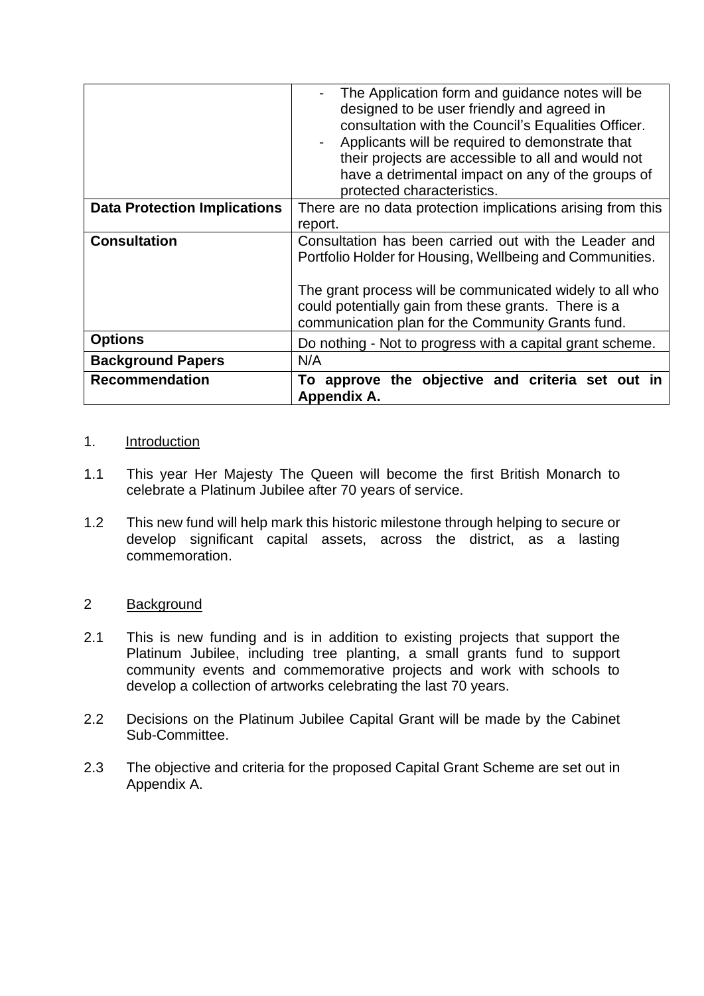| <b>Recommendation</b>               |
|-------------------------------------|
| <b>Background Papers</b>            |
| <b>Options</b>                      |
|                                     |
| <b>Consultation</b>                 |
| <b>Data Protection Implications</b> |
|                                     |

#### 1. Introduction

- 1.1 This year Her Majesty The Queen will become the first British Monarch to celebrate a Platinum Jubilee after 70 years of service.
- 1.2 This new fund will help mark this historic milestone through helping to secure or develop significant capital assets, across the district, as a lasting commemoration.

#### 2 Background

- 2.1 This is new funding and is in addition to existing projects that support the Platinum Jubilee, including tree planting, a small grants fund to support community events and commemorative projects and work with schools to develop a collection of artworks celebrating the last 70 years.
- 2.2 Decisions on the Platinum Jubilee Capital Grant will be made by the Cabinet Sub-Committee.
- 2.3 The objective and criteria for the proposed Capital Grant Scheme are set out in Appendix A.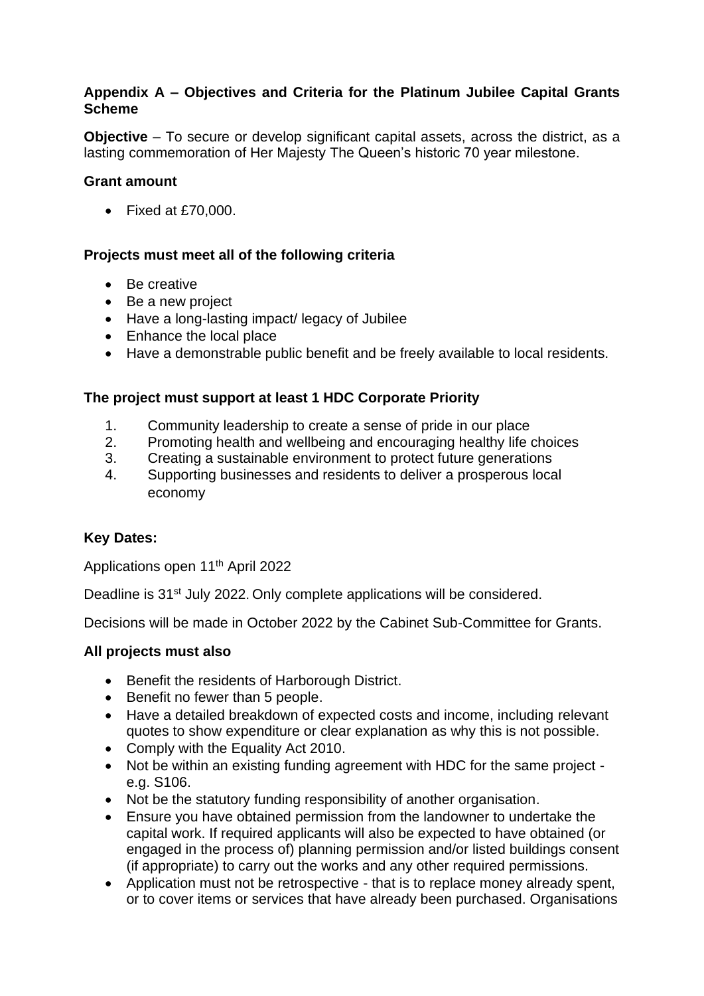#### **Appendix A – Objectives and Criteria for the Platinum Jubilee Capital Grants Scheme**

**Objective** – To secure or develop significant capital assets, across the district, as a lasting commemoration of Her Majesty The Queen's historic 70 year milestone.

#### **Grant amount**

• Fixed at £70,000.

#### **Projects must meet all of the following criteria**

- Be creative
- Be a new project
- Have a long-lasting impact/ legacy of Jubilee
- Enhance the local place
- Have a demonstrable public benefit and be freely available to local residents.

### **The project must support at least 1 HDC Corporate Priority**

- 1. Community leadership to create a sense of pride in our place
- 2. Promoting health and wellbeing and encouraging healthy life choices
- 3. Creating a sustainable environment to protect future generations
- 4. Supporting businesses and residents to deliver a prosperous local economy

### **Key Dates:**

Applications open 11th April 2022

Deadline is 31<sup>st</sup> July 2022. Only complete applications will be considered.

Decisions will be made in October 2022 by the Cabinet Sub-Committee for Grants.

#### **All projects must also**

- Benefit the residents of Harborough District.
- Benefit no fewer than 5 people.
- Have a detailed breakdown of expected costs and income, including relevant quotes to show expenditure or clear explanation as why this is not possible.
- Comply with the Equality Act 2010.
- Not be within an existing funding agreement with HDC for the same project e.g. S106.
- Not be the statutory funding responsibility of another organisation.
- Ensure you have obtained permission from the landowner to undertake the capital work. If required applicants will also be expected to have obtained (or engaged in the process of) planning permission and/or listed buildings consent (if appropriate) to carry out the works and any other required permissions.
- Application must not be retrospective that is to replace money already spent, or to cover items or services that have already been purchased. Organisations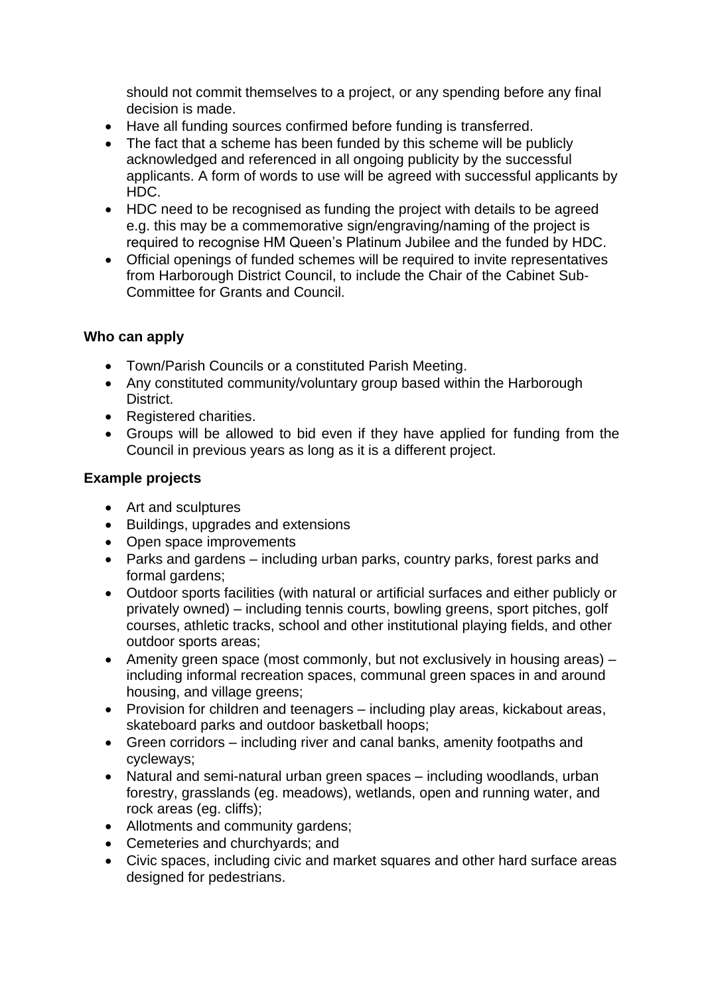should not commit themselves to a project, or any spending before any final decision is made.

- Have all funding sources confirmed before funding is transferred.
- The fact that a scheme has been funded by this scheme will be publicly acknowledged and referenced in all ongoing publicity by the successful applicants. A form of words to use will be agreed with successful applicants by HDC.
- HDC need to be recognised as funding the project with details to be agreed e.g. this may be a commemorative sign/engraving/naming of the project is required to recognise HM Queen's Platinum Jubilee and the funded by HDC.
- Official openings of funded schemes will be required to invite representatives from Harborough District Council, to include the Chair of the Cabinet Sub-Committee for Grants and Council.

## **Who can apply**

- Town/Parish Councils or a constituted Parish Meeting.
- Any constituted community/voluntary group based within the Harborough District.
- Registered charities.
- Groups will be allowed to bid even if they have applied for funding from the Council in previous years as long as it is a different project.

## **Example projects**

- Art and sculptures
- Buildings, upgrades and extensions
- Open space improvements
- Parks and gardens including urban parks, country parks, forest parks and formal gardens;
- Outdoor sports facilities (with natural or artificial surfaces and either publicly or privately owned) – including tennis courts, bowling greens, sport pitches, golf courses, athletic tracks, school and other institutional playing fields, and other outdoor sports areas;
- Amenity green space (most commonly, but not exclusively in housing areas) including informal recreation spaces, communal green spaces in and around housing, and village greens;
- Provision for children and teenagers including play areas, kickabout areas, skateboard parks and outdoor basketball hoops;
- Green corridors including river and canal banks, amenity footpaths and cycleways;
- Natural and semi-natural urban green spaces including woodlands, urban forestry, grasslands (eg. meadows), wetlands, open and running water, and rock areas (eg. cliffs);
- Allotments and community gardens;
- Cemeteries and churchyards; and
- Civic spaces, including civic and market squares and other hard surface areas designed for pedestrians.